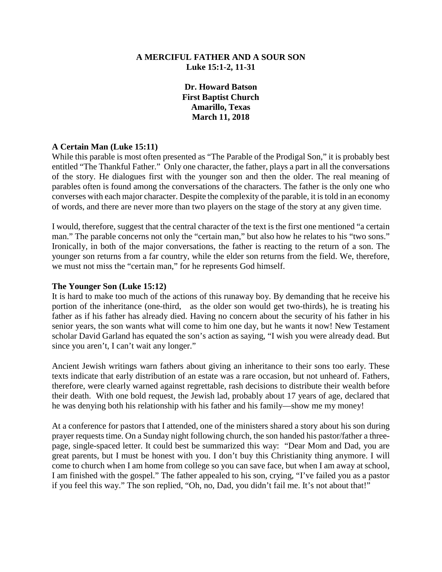### **A MERCIFUL FATHER AND A SOUR SON Luke 15:1-2, 11-31**

**Dr. Howard Batson First Baptist Church Amarillo, Texas March 11, 2018**

### **A Certain Man (Luke 15:11)**

While this parable is most often presented as "The Parable of the Prodigal Son," it is probably best entitled "The Thankful Father." Only one character, the father, plays a part in all the conversations of the story. He dialogues first with the younger son and then the older. The real meaning of parables often is found among the conversations of the characters. The father is the only one who converses with each major character. Despite the complexity of the parable, it is told in an economy of words, and there are never more than two players on the stage of the story at any given time.

I would, therefore, suggest that the central character of the text is the first one mentioned "a certain man." The parable concerns not only the "certain man," but also how he relates to his "two sons." Ironically, in both of the major conversations, the father is reacting to the return of a son. The younger son returns from a far country, while the elder son returns from the field. We, therefore, we must not miss the "certain man," for he represents God himself.

#### **The Younger Son (Luke 15:12)**

It is hard to make too much of the actions of this runaway boy. By demanding that he receive his portion of the inheritance (one-third, as the older son would get two-thirds), he is treating his father as if his father has already died. Having no concern about the security of his father in his senior years, the son wants what will come to him one day, but he wants it now! New Testament scholar David Garland has equated the son's action as saying, "I wish you were already dead. But since you aren't, I can't wait any longer."

Ancient Jewish writings warn fathers about giving an inheritance to their sons too early. These texts indicate that early distribution of an estate was a rare occasion, but not unheard of. Fathers, therefore, were clearly warned against regrettable, rash decisions to distribute their wealth before their death. With one bold request, the Jewish lad, probably about 17 years of age, declared that he was denying both his relationship with his father and his family—show me my money!

At a conference for pastors that I attended, one of the ministers shared a story about his son during prayer requests time. On a Sunday night following church, the son handed his pastor/father a threepage, single-spaced letter. It could best be summarized this way: "Dear Mom and Dad, you are great parents, but I must be honest with you. I don't buy this Christianity thing anymore. I will come to church when I am home from college so you can save face, but when I am away at school, I am finished with the gospel." The father appealed to his son, crying, "I've failed you as a pastor if you feel this way." The son replied, "Oh, no, Dad, you didn't fail me. It's not about that!"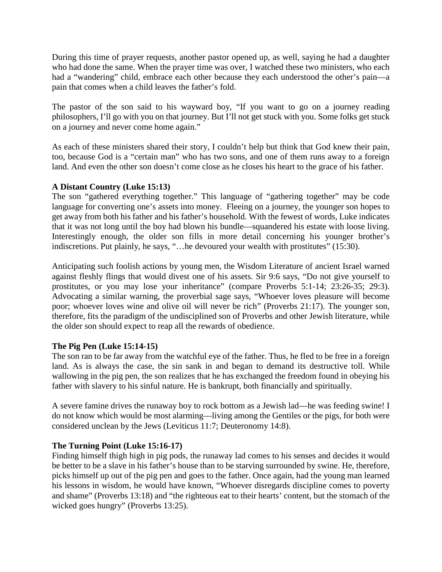During this time of prayer requests, another pastor opened up, as well, saying he had a daughter who had done the same. When the prayer time was over, I watched these two ministers, who each had a "wandering" child, embrace each other because they each understood the other's pain—a pain that comes when a child leaves the father's fold.

The pastor of the son said to his wayward boy, "If you want to go on a journey reading philosophers, I'll go with you on that journey. But I'll not get stuck with you. Some folks get stuck on a journey and never come home again."

As each of these ministers shared their story, I couldn't help but think that God knew their pain, too, because God is a "certain man" who has two sons, and one of them runs away to a foreign land. And even the other son doesn't come close as he closes his heart to the grace of his father.

# **A Distant Country (Luke 15:13)**

The son "gathered everything together." This language of "gathering together" may be code language for converting one's assets into money. Fleeing on a journey, the younger son hopes to get away from both his father and his father's household. With the fewest of words, Luke indicates that it was not long until the boy had blown his bundle—squandered his estate with loose living. Interestingly enough, the older son fills in more detail concerning his younger brother's indiscretions. Put plainly, he says, "…he devoured your wealth with prostitutes" (15:30).

Anticipating such foolish actions by young men, the Wisdom Literature of ancient Israel warned against fleshly flings that would divest one of his assets. Sir 9:6 says, "Do not give yourself to prostitutes, or you may lose your inheritance" (compare Proverbs 5:1-14; 23:26-35; 29:3). Advocating a similar warning, the proverbial sage says, "Whoever loves pleasure will become poor; whoever loves wine and olive oil will never be rich" (Proverbs 21:17). The younger son, therefore, fits the paradigm of the undisciplined son of Proverbs and other Jewish literature, while the older son should expect to reap all the rewards of obedience.

### **The Pig Pen (Luke 15:14-15)**

The son ran to be far away from the watchful eye of the father. Thus, he fled to be free in a foreign land. As is always the case, the sin sank in and began to demand its destructive toll. While wallowing in the pig pen, the son realizes that he has exchanged the freedom found in obeying his father with slavery to his sinful nature. He is bankrupt, both financially and spiritually.

A severe famine drives the runaway boy to rock bottom as a Jewish lad—he was feeding swine! I do not know which would be most alarming—living among the Gentiles or the pigs, for both were considered unclean by the Jews (Leviticus 11:7; Deuteronomy 14:8).

# **The Turning Point (Luke 15:16-17)**

Finding himself thigh high in pig pods, the runaway lad comes to his senses and decides it would be better to be a slave in his father's house than to be starving surrounded by swine. He, therefore, picks himself up out of the pig pen and goes to the father. Once again, had the young man learned his lessons in wisdom, he would have known, "Whoever disregards discipline comes to poverty and shame" (Proverbs 13:18) and "the righteous eat to their hearts' content, but the stomach of the wicked goes hungry" (Proverbs 13:25).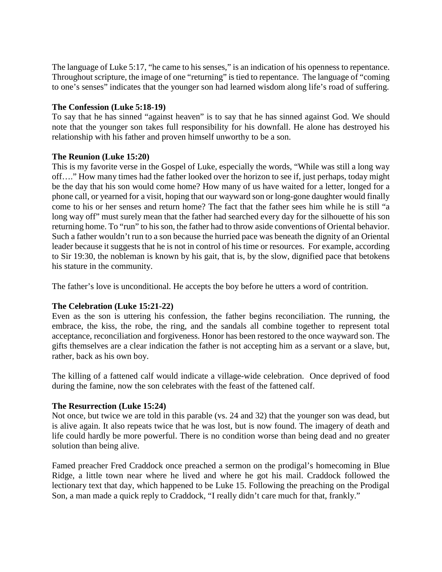The language of Luke 5:17, "he came to his senses," is an indication of his openness to repentance. Throughout scripture, the image of one "returning" is tied to repentance. The language of "coming to one's senses" indicates that the younger son had learned wisdom along life's road of suffering.

## **The Confession (Luke 5:18-19)**

To say that he has sinned "against heaven" is to say that he has sinned against God. We should note that the younger son takes full responsibility for his downfall. He alone has destroyed his relationship with his father and proven himself unworthy to be a son.

## **The Reunion (Luke 15:20)**

This is my favorite verse in the Gospel of Luke, especially the words, "While was still a long way off…." How many times had the father looked over the horizon to see if, just perhaps, today might be the day that his son would come home? How many of us have waited for a letter, longed for a phone call, or yearned for a visit, hoping that our wayward son or long-gone daughter would finally come to his or her senses and return home? The fact that the father sees him while he is still "a long way off" must surely mean that the father had searched every day for the silhouette of his son returning home. To "run" to his son, the father had to throw aside conventions of Oriental behavior. Such a father wouldn't run to a son because the hurried pace was beneath the dignity of an Oriental leader because it suggests that he is not in control of his time or resources. For example, according to Sir 19:30, the nobleman is known by his gait, that is, by the slow, dignified pace that betokens his stature in the community.

The father's love is unconditional. He accepts the boy before he utters a word of contrition.

# **The Celebration (Luke 15:21-22)**

Even as the son is uttering his confession, the father begins reconciliation. The running, the embrace, the kiss, the robe, the ring, and the sandals all combine together to represent total acceptance, reconciliation and forgiveness. Honor has been restored to the once wayward son. The gifts themselves are a clear indication the father is not accepting him as a servant or a slave, but, rather, back as his own boy.

The killing of a fattened calf would indicate a village-wide celebration. Once deprived of food during the famine, now the son celebrates with the feast of the fattened calf.

### **The Resurrection (Luke 15:24)**

Not once, but twice we are told in this parable (vs. 24 and 32) that the younger son was dead, but is alive again. It also repeats twice that he was lost, but is now found. The imagery of death and life could hardly be more powerful. There is no condition worse than being dead and no greater solution than being alive.

Famed preacher Fred Craddock once preached a sermon on the prodigal's homecoming in Blue Ridge, a little town near where he lived and where he got his mail. Craddock followed the lectionary text that day, which happened to be Luke 15. Following the preaching on the Prodigal Son, a man made a quick reply to Craddock, "I really didn't care much for that, frankly."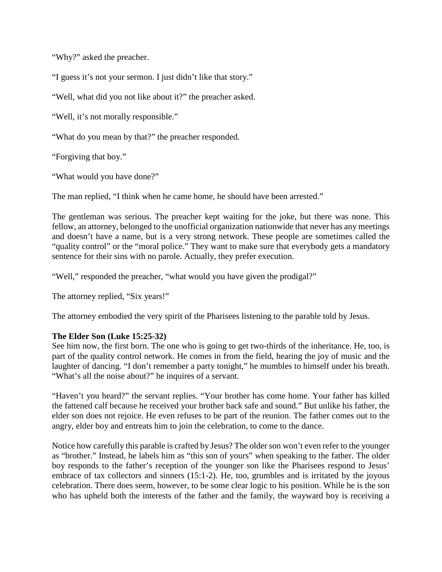"Why?" asked the preacher.

"I guess it's not your sermon. I just didn't like that story."

"Well, what did you not like about it?" the preacher asked.

"Well, it's not morally responsible."

"What do you mean by that?" the preacher responded.

"Forgiving that boy."

"What would you have done?"

The man replied, "I think when he came home, he should have been arrested."

The gentleman was serious. The preacher kept waiting for the joke, but there was none. This fellow, an attorney, belonged to the unofficial organization nationwide that never has any meetings and doesn't have a name, but is a very strong network. These people are sometimes called the "quality control" or the "moral police." They want to make sure that everybody gets a mandatory sentence for their sins with no parole. Actually, they prefer execution.

"Well," responded the preacher, "what would you have given the prodigal?"

The attorney replied, "Six years!"

The attorney embodied the very spirit of the Pharisees listening to the parable told by Jesus.

### **The Elder Son (Luke 15:25-32)**

See him now, the first born. The one who is going to get two-thirds of the inheritance. He, too, is part of the quality control network. He comes in from the field, hearing the joy of music and the laughter of dancing. "I don't remember a party tonight," he mumbles to himself under his breath. "What's all the noise about?" he inquires of a servant.

"Haven't you heard?" the servant replies. "Your brother has come home. Your father has killed the fattened calf because he received your brother back safe and sound." But unlike his father, the elder son does not rejoice. He even refuses to be part of the reunion. The father comes out to the angry, elder boy and entreats him to join the celebration, to come to the dance.

Notice how carefully this parable is crafted by Jesus? The older son won't even refer to the younger as "brother." Instead, he labels him as "this son of yours" when speaking to the father. The older boy responds to the father's reception of the younger son like the Pharisees respond to Jesus' embrace of tax collectors and sinners (15:1-2). He, too, grumbles and is irritated by the joyous celebration. There does seem, however, to be some clear logic to his position. While he is the son who has upheld both the interests of the father and the family, the wayward boy is receiving a